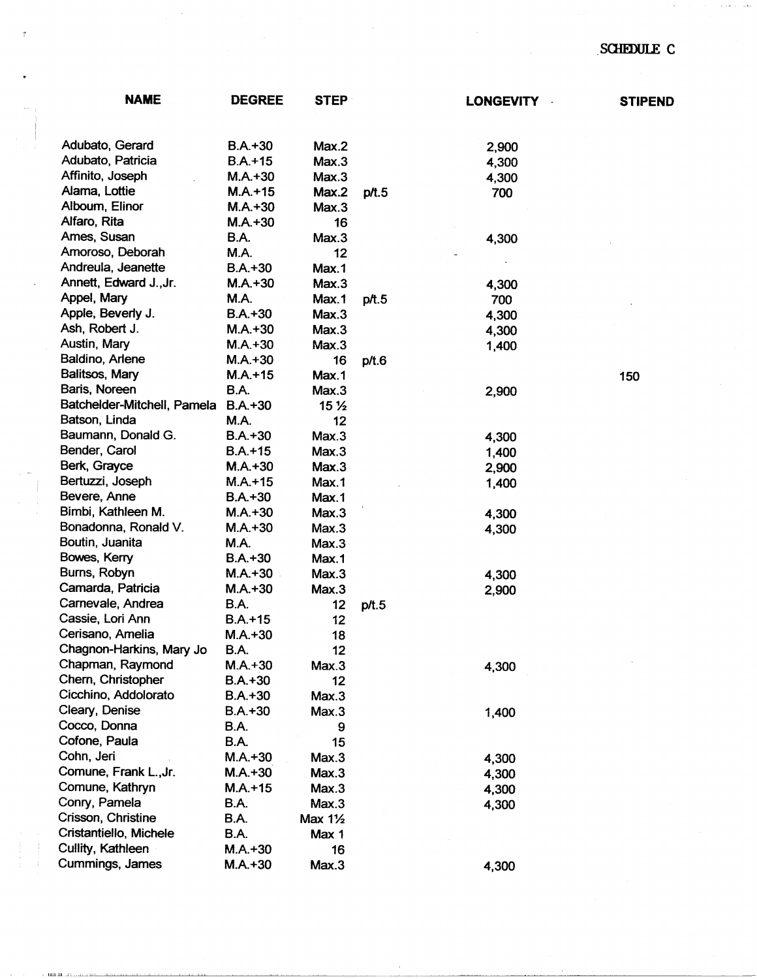## SCHEDULE C

| <b>NAME</b>                 | <b>DEGREE</b>            | <b>STEP</b>        |       | <b>LONGEVITY</b> | <b>STIPEND</b> |
|-----------------------------|--------------------------|--------------------|-------|------------------|----------------|
|                             |                          |                    |       |                  |                |
| Adubato, Gerard             | $B.A.+30$                | Max.2              |       | 2,900            |                |
| Adubato, Patricia           | $B.A.+15$                | Max.3              |       | 4,300            |                |
| Affinito, Joseph            | $M.A.+30$                | Max.3              |       | 4,300            |                |
| Alama, Lottie               | $M.A.+15$                | Max.2              | p/t.5 | 700              |                |
| Alboum, Elinor              | $M.A.+30$                | Max.3              |       |                  |                |
| Alfaro, Rita                | $M.A. + 30$              | 16                 |       |                  |                |
| Ames, Susan                 | B.A.                     | Max.3              |       | 4,300            |                |
| Amoroso, Deborah            | M.A.                     | 12                 |       |                  |                |
| Andreula, Jeanette          | $B.A.+30$                | Max.1              |       |                  |                |
| Annett, Edward J., Jr.      | $M.A.+30$                | Max.3              |       | 4,300            |                |
| Appel, Mary                 | M.A.                     | Max.1              | p/t.5 | 700              |                |
| Apple, Beverly J.           | $B.A.+30$                | Max.3              |       |                  |                |
| Ash, Robert J.              | $M.A. + 30$              | Max.3              |       | 4,300            |                |
| Austin, Mary                | $M.A. + 30$              |                    |       | 4,300            |                |
| Baldino, Arlene             |                          | Max.3              |       | 1,400            |                |
| Balitsos, Mary              | $M.A.+30$<br>$M.A. + 15$ | 16<br>Max.1        | p/t.6 |                  |                |
| Baris, Noreen               |                          |                    |       |                  | 150            |
| Batchelder-Mitchell, Pamela | <b>B.A.</b>              | Max.3              |       | 2,900            |                |
|                             | $B.A.+30$                | 15 <sub>2</sub>    |       |                  |                |
| Batson, Linda               | M.A.                     | 12                 |       |                  |                |
| Baumann, Donald G.          | $B.A.+30$                | Max.3              |       | 4,300            |                |
| Bender, Carol               | $B.A.+15$                | Max.3              |       | 1,400            |                |
| Berk, Grayce                | $M.A.+30$                | Max.3              |       | 2,900            |                |
| Bertuzzi, Joseph            | $M.A.+15$                | Max.1              |       | 1,400            |                |
| Bevere, Anne                | $B.A.+30$                | Max.1              |       |                  |                |
| Bimbi, Kathleen M.          | $M.A.+30$                | Max.3              |       | 4,300            |                |
| Bonadonna, Ronald V.        | $M.A.+30$                | Max.3              |       | 4,300            |                |
| Boutin, Juanita             | M.A.                     | Max.3              |       |                  |                |
| Bowes, Kerry                | $B.A. + 30$              | Max.1              |       |                  |                |
| Burns, Robyn                | $M.A.+30$                | Max.3              |       | 4,300            |                |
| Camarda, Patricia           | $M.A.+30$                | Max.3              |       | 2,900            |                |
| Carnevale, Andrea           | B.A.                     | 12                 | p/t.5 |                  |                |
| Cassie, Lori Ann            | $B.A.+15$                | 12                 |       |                  |                |
| Cerisano, Amelia            | $M.A. + 30$              | 18                 |       |                  |                |
| Chagnon-Harkins, Mary Jo    | B.A.                     | 12                 |       |                  |                |
| Chapman, Raymond            | $M.A.+30$                | Max.3              |       | 4,300            |                |
| Chern, Christopher          | $B.A.+30$                | 12                 |       |                  |                |
| Cicchino, Addolorato        | $B.A.+30$                | Max.3              |       |                  |                |
| Cleary, Denise              | $B.A.+30$                | Max.3              |       | 1,400            |                |
| Cocco, Donna                | B.A.                     | 9                  |       |                  |                |
| Cofone, Paula               | B.A.                     | 15                 |       |                  |                |
| Cohn, Jeri                  | $M.A.+30$                | Max.3              |       | 4,300            |                |
| Comune, Frank L., Jr.       | $M.A.+30$                | Max.3              |       | 4,300            |                |
| Comune, Kathryn             | $M.A.+15$                | Max.3              |       | 4,300            |                |
| Conry, Pamela               | <b>B.A.</b>              | Max.3              |       | 4,300            |                |
| Crisson, Christine          | <b>B.A.</b>              | Max $1\frac{1}{2}$ |       |                  |                |
| Cristantiello, Michele      | <b>B.A.</b>              | Max 1              |       |                  |                |
| Cullity, Kathleen           | $M.A.+30$                | 16                 |       |                  |                |
| Cummings, James             | $M.A. + 30$              | Max.3              |       | 4,300            |                |
|                             |                          |                    |       |                  |                |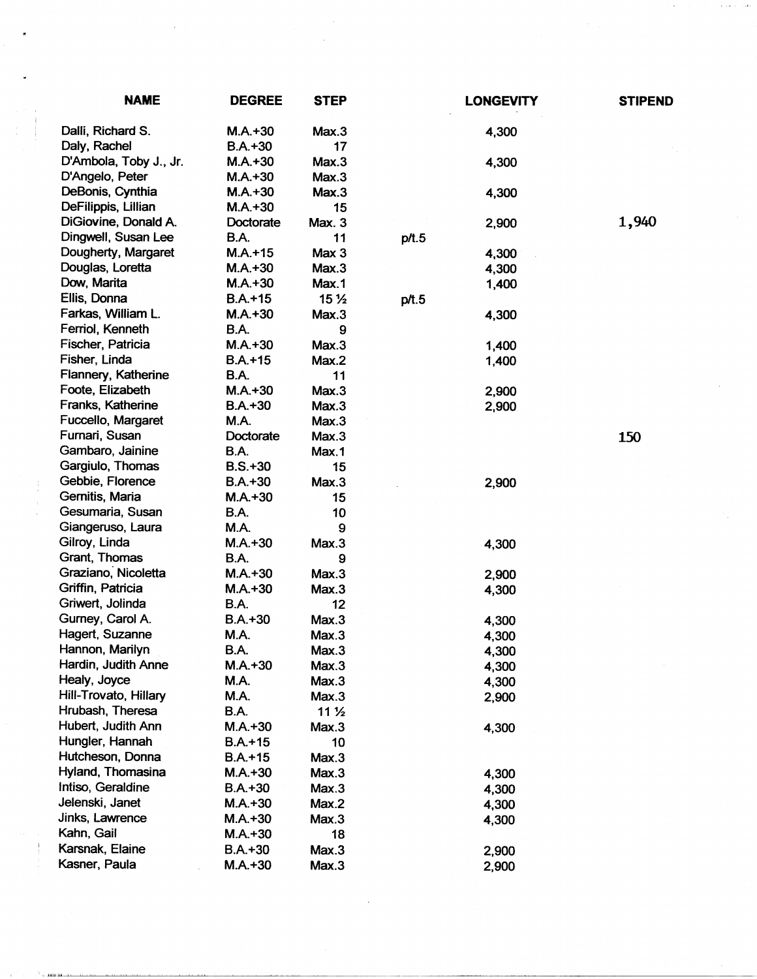| <b>NAME</b>            | <b>DEGREE</b> | <b>STEP</b>     |       | <b>LONGEVITY</b> | <b>STIPEND</b> |
|------------------------|---------------|-----------------|-------|------------------|----------------|
| Dalli, Richard S.      | $M.A.+30$     | Max.3           |       | 4,300            |                |
| Daly, Rachel           | $B.A.+30$     | 17              |       |                  |                |
| D'Ambola, Toby J., Jr. | $M.A.+30$     | Max.3           |       | 4,300            |                |
| D'Angelo, Peter        | $M.A.+30$     | Max.3           |       |                  |                |
| DeBonis, Cynthia       | $M.A.+30$     | Max.3           |       | 4,300            |                |
| DeFilippis, Lillian    | $M.A.+30$     | 15              |       |                  |                |
| DiGiovine, Donald A.   | Doctorate     | <b>Max. 3</b>   |       | 2,900            | 1,940          |
| Dingwell, Susan Lee    | <b>B.A.</b>   | 11              | p/t.5 |                  |                |
| Dougherty, Margaret    | $M.A.+15$     | Max 3           |       | 4,300            |                |
| Douglas, Loretta       | $M.A.+30$     | Max.3           |       | 4,300            |                |
| Dow, Marita            | $M.A.+30$     | Max.1           |       | 1,400            |                |
| Ellis, Donna           | $B.A.+15$     | 15 <sub>2</sub> | p/t.5 |                  |                |
| Farkas, William L.     | $M.A.+30$     | Max.3           |       | 4,300            |                |
| Ferriol, Kenneth       | <b>B.A.</b>   | 9               |       |                  |                |
| Fischer, Patricia      | $M.A. + 30$   | Max.3           |       | 1,400            |                |
| Fisher, Linda          | $B.A. + 15$   | Max.2           |       | 1,400            |                |
| Flannery, Katherine    | <b>B.A.</b>   | 11              |       |                  |                |
| Foote, Elizabeth       | $M.A.+30$     | Max.3           |       | 2,900            |                |
| Franks, Katherine      | $B.A.+30$     | Max.3           |       | 2,900            |                |
| Fuccello, Margaret     | M.A.          | Max.3           |       |                  |                |
| Furnari, Susan         | Doctorate     | Max.3           |       |                  | 150            |
| Gambaro, Jainine       | <b>B.A.</b>   | Max.1           |       |                  |                |
| Gargiulo, Thomas       | $B.S.+30$     | 15              |       |                  |                |
| Gebbie, Florence       | $B.A.+30$     | Max.3           |       | 2,900            |                |
| Gernitis, Maria        | $M.A.+30$     | 15              |       |                  |                |
| Gesumaria, Susan       | <b>B.A.</b>   | 10              |       |                  |                |
| Giangeruso, Laura      | M.A.          | 9               |       |                  |                |
| Gilroy, Linda          | $M.A.+30$     | Max.3           |       | 4,300            |                |
| Grant, Thomas          | <b>B.A.</b>   | 9               |       |                  |                |
| Graziano, Nicoletta    | $M.A.+30$     | Max.3           |       | 2,900            |                |
| Griffin, Patricia      | $M.A. + 30$   | Max.3           |       | 4,300            |                |
| Griwert, Jolinda       | B.A.          | 12              |       |                  |                |
| Gurney, Carol A.       | $B.A.+30$     | Max.3           |       | 4,300            |                |
| Hagert, Suzanne        | M.A.          | Max.3           |       | 4,300            |                |
| Hannon, Marilyn        | B.A.          | Max.3           |       | 4,300            |                |
| Hardin, Judith Anne    | $M.A. + 30$   | Max.3           |       | 4,300            |                |
| Healy, Joyce           | M.A.          | Max.3           |       | 4,300            |                |
| Hill-Trovato, Hillary  | M.A.          | Max.3           |       | 2,900            |                |
| Hrubash, Theresa       | B.A.          | 11 <sub>2</sub> |       |                  |                |
| Hubert, Judith Ann     | $M.A.+30$     | Max.3           |       | 4,300            |                |
| Hungler, Hannah        | $B.A. + 15$   | 10              |       |                  |                |
| Hutcheson, Donna       | $B.A.+15$     | Max.3           |       |                  |                |
| Hyland, Thomasina      | $M.A.+30$     | Max.3           |       | 4,300            |                |
| Intiso, Geraldine      | $B.A.+30$     | Max.3           |       | 4,300            |                |
| Jelenski, Janet        | $M.A. + 30$   | Max.2           |       | 4,300            |                |
| Jinks, Lawrence        | $M.A.+30$     | Max.3           |       | 4,300            |                |
| Kahn, Gail             | $M.A.+30$     | 18              |       |                  |                |
| Karsnak, Elaine        | $B.A.+30$     | Max.3           |       | 2,900            |                |
| Kasner, Paula          | $M.A. + 30$   | Max.3           |       | 2,900            |                |

 $\overline{z}$ 

'•.-1.ILIIIIJll.il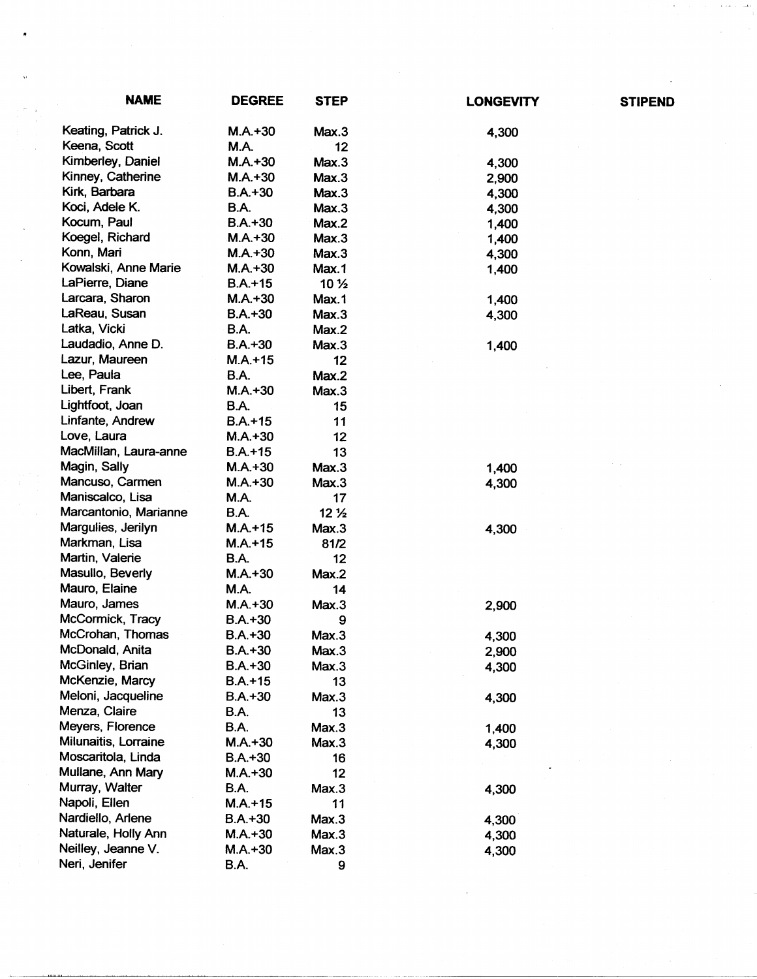| <b>NAME</b>           | <b>DEGREE</b> | <b>STEP</b>     | <b>LONGEVITY</b> | <b>STIPEND</b> |
|-----------------------|---------------|-----------------|------------------|----------------|
| Keating, Patrick J.   | $M.A.+30$     | Max.3           | 4,300            |                |
| Keena, Scott          | <b>M.A.</b>   | 12              |                  |                |
| Kimberley, Daniel     | $M.A.+30$     | Max.3           | 4,300            |                |
| Kinney, Catherine     | $M.A.+30$     | Max.3           | 2,900            |                |
| Kirk, Barbara         | $B.A. + 30$   | Max.3           | 4,300            |                |
| Koci, Adele K.        | <b>B.A.</b>   | Max.3           | 4,300            |                |
| Kocum, Paul           | $B.A.+30$     | Max.2           | 1,400            |                |
| Koegel, Richard       | $M.A.+30$     | Max.3           | 1,400            |                |
| Konn, Mari            | $M.A.+30$     | Max.3           | 4,300            |                |
| Kowalski, Anne Marie  | $M.A.+30$     | Max.1           | 1,400            |                |
| LaPierre, Diane       | $B.A.+15$     | 10 <sub>2</sub> |                  |                |
| Larcara, Sharon       | $M.A.+30$     | Max.1           | 1,400            |                |
| LaReau, Susan         | $B.A.+30$     | Max.3           | 4,300            |                |
| Latka, Vicki          | B.A.          | Max.2           |                  |                |
| Laudadio, Anne D.     | $B.A.+30$     | Max.3           | 1,400            |                |
| Lazur, Maureen        | $M.A. + 15$   | 12              |                  |                |
| Lee, Paula            | <b>B.A.</b>   | Max.2           |                  |                |
| Libert, Frank         | $M.A.+30$     | Max.3           |                  |                |
| Lightfoot, Joan       | <b>B.A.</b>   | 15              |                  |                |
| Linfante, Andrew      | $B.A.+15$     | 11              |                  |                |
| Love, Laura           | $M.A.+30$     | 12              |                  |                |
| MacMillan, Laura-anne | $B.A.+15$     | 13              |                  |                |
| Magin, Sally          | $M.A.+30$     | Max.3           | 1,400            |                |
| Mancuso, Carmen       | $M.A. + 30$   | Max.3           | 4,300            |                |
| Maniscalco, Lisa      | M.A.          | 17              |                  |                |
| Marcantonio, Marianne | B.A.          | 12 <sub>2</sub> |                  |                |
| Margulies, Jerilyn    | $M.A.+15$     | Max.3           | 4,300            |                |
| Markman, Lisa         | $M.A. + 15$   | 81/2            |                  |                |
| Martin, Valerie       | B.A.          | 12              |                  |                |
| Masullo, Beverly      | $M.A.+30$     | Max.2           |                  |                |
| Mauro, Elaine         | M.A.          | 14              |                  |                |
| Mauro, James          | $M.A. + 30$   | Max.3           | 2,900            |                |
| McCormick, Tracy      | $B.A.+30$     | 9               |                  |                |
| McCrohan, Thomas      | $B.A.+30$     | Max.3           | 4,300            |                |
| McDonald, Anita       | $B.A.+30$     | Max.3           | 2,900            |                |
| McGinley, Brian       | $B.A.+30$     | Max.3           | 4,300            |                |
| McKenzie, Marcy       | $B.A.+15$     | 13              |                  |                |
| Meloni, Jacqueline    | $B.A.+30$     | Max.3           | 4,300            |                |
| Menza, Claire         | <b>B.A.</b>   | 13              |                  |                |
| Meyers, Florence      | <b>B.A.</b>   | Max.3           | 1,400            |                |
| Milunaitis, Lorraine  | $M.A.+30$     | Max.3           | 4,300            |                |
| Moscaritola, Linda    | $B.A.+30$     | 16              |                  |                |
| Mullane, Ann Mary     | $M.A.+30$     | 12              |                  |                |
| Murray, Walter        | <b>B.A.</b>   | Max.3           | 4,300            |                |
| Napoli, Ellen         | $M.A. + 15$   | 11              |                  |                |
| Nardiello, Arlene     | $B.A.+30$     | Max.3           | 4,300            |                |
| Naturale, Holly Ann   | $M.A. + 30$   | Max.3           | 4,300            |                |
| Neilley, Jeanne V.    | $M.A. + 30$   | Max.3           | 4,300            |                |
| Neri, Jenifer         | <b>B.A.</b>   | 9               |                  |                |

 $\langle$ 

,

 $\mathbb{Z}^2$ 

 $\mathcal{L}^{(1)}$  .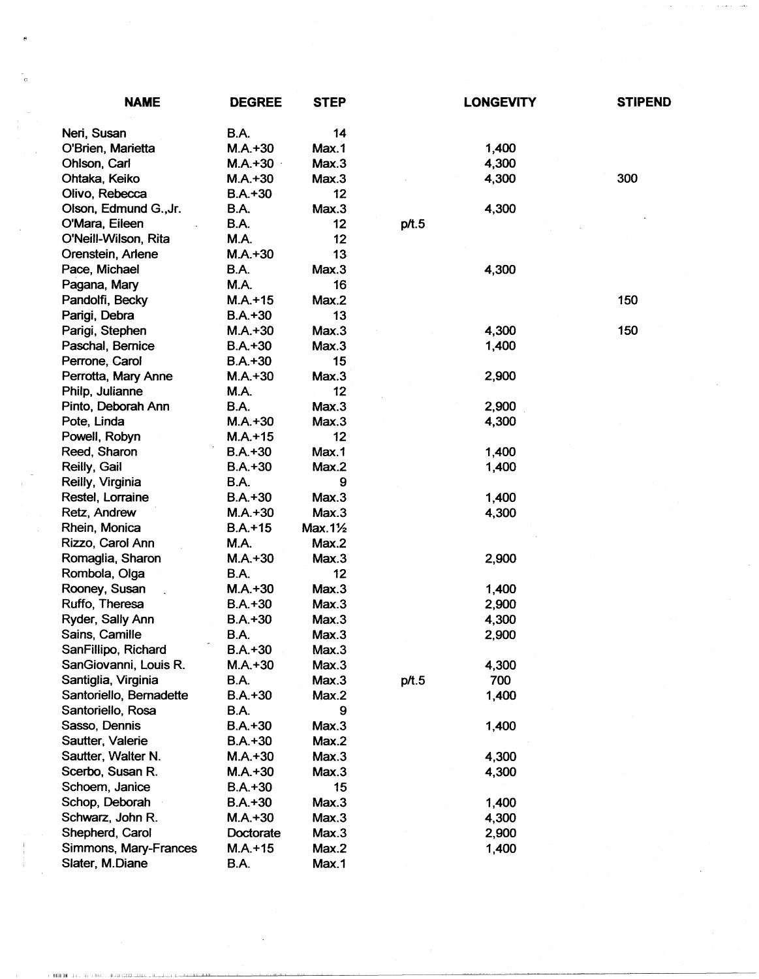| <b>NAME</b>             | <b>DEGREE</b> | <b>STEP</b> |       | <b>LONGEVITY</b> | <b>STIPEND</b> |
|-------------------------|---------------|-------------|-------|------------------|----------------|
| Neri, Susan             | <b>B.A.</b>   | 14          |       |                  |                |
| O'Brien, Marietta       | $M.A.+30$     | Max.1       |       | 1,400            |                |
| Ohlson, Carl            | $M.A.+30$     | Max.3       |       | 4,300            |                |
| Ohtaka, Keiko           | $M.A.+30$     | Max.3       |       | 4,300            | 300            |
| Olivo, Rebecca          | $B.A.+30$     | 12          |       |                  |                |
| Olson, Edmund G., Jr.   | B.A.          | Max.3       |       | 4,300            |                |
| O'Mara, Eileen          | B.A.          | 12          | p/t.5 |                  |                |
| O'Neill-Wilson, Rita    | <b>M.A.</b>   | 12          |       |                  |                |
| Orenstein, Arlene       | $M.A.+30$     | 13          |       |                  |                |
| Pace, Michael           | <b>B.A.</b>   | Max.3       |       | 4,300            |                |
| Pagana, Mary            | M.A.          | 16          |       |                  |                |
| Pandolfi, Becky         | $M.A. + 15$   | Max.2       |       |                  | 150            |
| Parigi, Debra           | $B.A.+30$     | 13          |       |                  |                |
| Parigi, Stephen         | $M.A.+30$     | Max.3       |       | 4,300            | 150            |
| Paschal, Bernice        | $B.A. + 30$   | Max.3       |       | 1,400            |                |
| Perrone, Carol          | $B.A.+30$     | 15          |       |                  |                |
| Perrotta, Mary Anne     | $M.A.+30$     | Max.3       |       | 2,900            |                |
| Philp, Julianne         | M.A.          | 12          |       |                  |                |
| Pinto, Deborah Ann      | <b>B.A.</b>   | Max.3       |       | 2,900            |                |
| Pote, Linda             | $M.A.+30$     | Max.3       |       | 4,300            |                |
| Powell, Robyn           | $M.A.+15$     | 12          |       |                  |                |
| Reed, Sharon            | $B.A. + 30$   | Max.1       |       | 1,400            |                |
| Reilly, Gail            | $B.A.+30$     | Max.2       |       | 1,400            |                |
| Reilly, Virginia        | B.A.          | 9           |       |                  |                |
| Restel, Lorraine        | $B.A.+30$     | Max.3       |       | 1,400            |                |
| Retz, Andrew            | $M.A. + 30$   | Max.3       |       | 4,300            |                |
| Rhein, Monica           | $B.A.+15$     | Max.11/2    |       |                  |                |
| Rizzo, Carol Ann        | M.A.          | Max.2       |       |                  |                |
| Romaglia, Sharon        | $M.A. + 30$   | Max.3       |       | 2,900            |                |
| Rombola, Olga           | B.A.          | 12          |       |                  |                |
| Rooney, Susan           | $M.A.+30$     | Max.3       |       | 1,400            |                |
| Ruffo, Theresa          | $B.A.+30$     | Max.3       |       | 2,900            |                |
| Ryder, Sally Ann        | $B.A.+30$     | Max.3       |       | 4,300            |                |
| Sains, Camille          | B.A.          | Max.3       |       | 2,900            |                |
| SanFillipo, Richard     | $B.A.+30$     | Max.3       |       |                  |                |
| SanGiovanni, Louis R.   | $M.A.+30$     | Max.3       |       | 4,300            |                |
| Santiglia, Virginia     | <b>B.A.</b>   | Max.3       | p/t.5 | 700              |                |
| Santoriello, Bernadette | $B.A.+30$     | Max.2       |       | 1,400            |                |
| Santoriello, Rosa       | B.A.          | 9           |       |                  |                |
| Sasso, Dennis           | $B.A.+30$     | Max.3       |       | 1,400            |                |
| Sautter, Valerie        | $B.A. + 30$   | Max.2       |       |                  |                |
| Sautter, Walter N.      | $M.A.+30$     | Max.3       |       | 4,300            |                |
| Scerbo, Susan R.        | $M.A.+30$     | Max.3       |       | 4,300            |                |
| Schoem, Janice          | $B.A. + 30$   | 15          |       |                  |                |
| Schop, Deborah          | $B.A.+30$     | Max.3       |       | 1,400            |                |
| Schwarz, John R.        | $M.A.+30$     | Max.3       |       | 4,300            |                |
| Shepherd, Carol         | Doctorate     | Max.3       |       | 2,900            |                |
| Simmons, Mary-Frances   | $M.A. + 15$   | Max.2       |       | 1,400            |                |
| Slater, M.Diane         | B.A.          | Max.1       |       |                  |                |

 $\mathcal{A}(\mathbf{a}) = \mathcal{A}(\mathbf{a})$  , and  $\mathcal{A}(\mathbf{a}) = \mathcal{A}(\mathbf{a})$  and  $\mathcal{A}(\mathbf{a})$ 

 $\mathcal{L}^{(1)}$ 

.<br>1 **1 kil 18 -** 1940' SER MARK . HISU CERTINING I SULL 1944 A LETTER TRANSPORT . I JULIA 1940' A LETTER A LETTER DEL LA LETTER SON

 $\mathcal{A}^{\prime}$ 

 $\frac{c}{6}$ 

 $\frac{1}{\sqrt{2}}$ 

 $\sim 1$